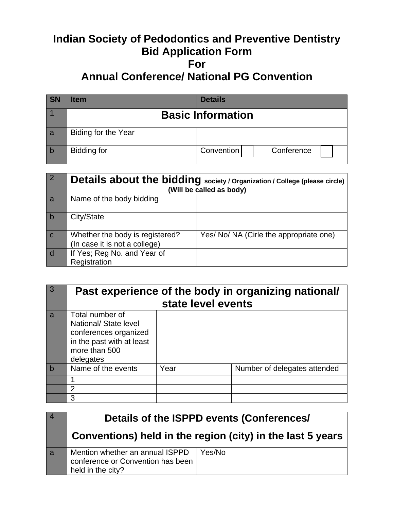# **Indian Society of Pedodontics and Preventive Dentistry Bid Application Form For Annual Conference/ National PG Convention**

| <b>SN</b> | ltem                | <b>Details</b>           |
|-----------|---------------------|--------------------------|
|           |                     | <b>Basic Information</b> |
| a         | Biding for the Year |                          |
| l b       | Bidding for         | Convention<br>Conference |

|             | Details about the bidding society / Organization / College (please circle)<br>(Will be called as body) |                                         |
|-------------|--------------------------------------------------------------------------------------------------------|-----------------------------------------|
| a           | Name of the body bidding                                                                               |                                         |
| b           | City/State                                                                                             |                                         |
| $\mathbf C$ | Whether the body is registered?<br>(In case it is not a college)                                       | Yes/ No/ NA (Cirle the appropriate one) |
| d           | If Yes; Reg No. and Year of<br>Registration                                                            |                                         |

| $\overline{3}$ | Past experience of the body in organizing national/<br>state level events                                                    |      |                              |
|----------------|------------------------------------------------------------------------------------------------------------------------------|------|------------------------------|
| a              | Total number of<br>National/ State level<br>conferences organized<br>in the past with at least<br>more than 500<br>delegates |      |                              |
| b              | Name of the events                                                                                                           | Year | Number of delegates attended |
|                |                                                                                                                              |      |                              |
|                | 2                                                                                                                            |      |                              |
|                | 3                                                                                                                            |      |                              |

|   | Details of the ISPPD events (Conferences/<br>Conventions) held in the region (city) in the last 5 years |        |
|---|---------------------------------------------------------------------------------------------------------|--------|
|   |                                                                                                         |        |
| a | Mention whether an annual ISPPD<br>conference or Convention has been<br>held in the city?               | Yes/No |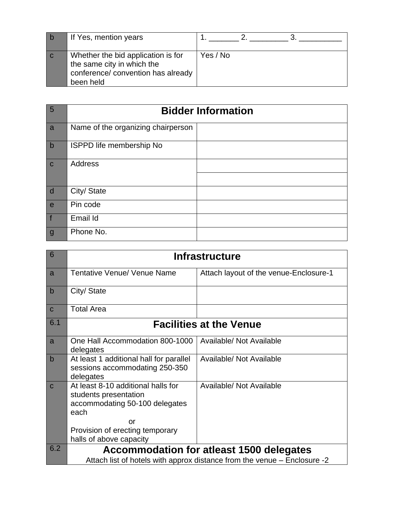| If Yes, mention years                                                                                               |          |
|---------------------------------------------------------------------------------------------------------------------|----------|
| Whether the bid application is for<br>the same city in which the<br>conference/ convention has already<br>been held | Yes / No |

| $5\overline{5}$ | <b>Bidder Information</b>          |  |
|-----------------|------------------------------------|--|
| a               | Name of the organizing chairperson |  |
| $\vert$ b       | <b>ISPPD life membership No</b>    |  |
| $\mathbf{C}$    | <b>Address</b>                     |  |
| $\overline{d}$  | City/ State                        |  |
| e               | Pin code                           |  |
| f               | Email Id                           |  |
| $\mathbf{g}$    | Phone No.                          |  |

| 6           | <b>Infrastructure</b>                                                                                                                          |                                                                                                                             |
|-------------|------------------------------------------------------------------------------------------------------------------------------------------------|-----------------------------------------------------------------------------------------------------------------------------|
| a           | <b>Tentative Venue/ Venue Name</b>                                                                                                             | Attach layout of the venue-Enclosure-1                                                                                      |
| b           | City/ State                                                                                                                                    |                                                                                                                             |
| $\mathbf C$ | <b>Total Area</b>                                                                                                                              |                                                                                                                             |
| 6.1         |                                                                                                                                                | <b>Facilities at the Venue</b>                                                                                              |
| a           | One Hall Accommodation 800-1000<br>delegates                                                                                                   | Available/ Not Available                                                                                                    |
| $\mathsf b$ | At least 1 additional hall for parallel<br>sessions accommodating 250-350<br>delegates                                                         | Available/ Not Available                                                                                                    |
| $\mathbf C$ | At least 8-10 additional halls for<br>students presentation<br>accommodating 50-100 delegates<br>each<br>Ωr<br>Provision of erecting temporary | Available/ Not Available                                                                                                    |
|             | halls of above capacity                                                                                                                        |                                                                                                                             |
| 6.2         |                                                                                                                                                | <b>Accommodation for atleast 1500 delegates</b><br>Attach list of hotels with approx distance from the venue – Enclosure -2 |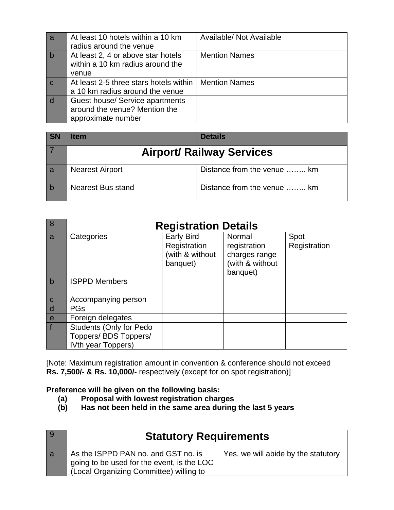| a           | At least 10 hotels within a 10 km      | Available/ Not Available |
|-------------|----------------------------------------|--------------------------|
|             | radius around the venue                |                          |
| $\mathbf b$ | At least 2, 4 or above star hotels     | <b>Mention Names</b>     |
|             | within a 10 km radius around the       |                          |
|             | venue                                  |                          |
|             | At least 2-5 three stars hotels within | <b>Mention Names</b>     |
|             | a 10 km radius around the venue        |                          |
| d           | Guest house/ Service apartments        |                          |
|             | around the venue? Mention the          |                          |
|             | approximate number                     |                          |

| <b>SN</b> | ltem                   | <b>Details</b>                   |
|-----------|------------------------|----------------------------------|
|           |                        | <b>Airport/ Railway Services</b> |
| a         | <b>Nearest Airport</b> | Distance from the venue  km      |
|           | Nearest Bus stand      | Distance from the venue  km      |

| 8              | <b>Registration Details</b>                                                   |                                                                  |                                                                        |                      |
|----------------|-------------------------------------------------------------------------------|------------------------------------------------------------------|------------------------------------------------------------------------|----------------------|
| $\overline{a}$ | Categories                                                                    | <b>Early Bird</b><br>Registration<br>(with & without<br>banquet) | Normal<br>registration<br>charges range<br>(with & without<br>banquet) | Spot<br>Registration |
| $\mathbf b$    | <b>ISPPD Members</b>                                                          |                                                                  |                                                                        |                      |
| $\overline{c}$ | Accompanying person                                                           |                                                                  |                                                                        |                      |
| $\overline{d}$ | <b>PGs</b>                                                                    |                                                                  |                                                                        |                      |
| $\frac{e}{f}$  | Foreign delegates                                                             |                                                                  |                                                                        |                      |
|                | <b>Students (Only for Pedo</b><br>Toppers/ BDS Toppers/<br>IVth year Toppers) |                                                                  |                                                                        |                      |

[Note: Maximum registration amount in convention & conference should not exceed **Rs. 7,500/- & Rs. 10,000/-** respectively (except for on spot registration)]

## **Preference will be given on the following basis:**

- **(a) Proposal with lowest registration charges**
- **(b) Has not been held in the same area during the last 5 years**

| l 9 | <b>Statutory Requirements</b>                                                                                                |                                     |
|-----|------------------------------------------------------------------------------------------------------------------------------|-------------------------------------|
| l a | As the ISPPD PAN no. and GST no. is<br>going to be used for the event, is the LOC<br>(Local Organizing Committee) willing to | Yes, we will abide by the statutory |